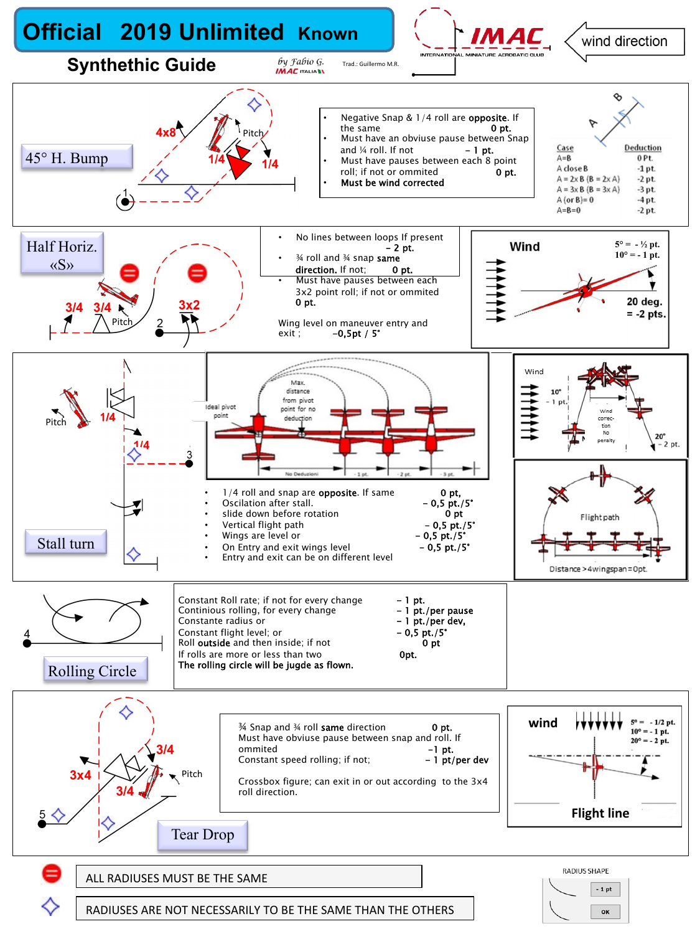